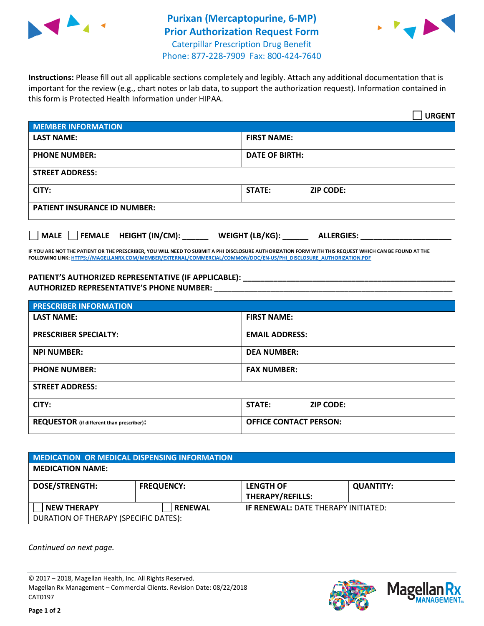

## **Purixan (Mercaptopurine, 6-MP) Prior Authorization Request Form** Caterpillar Prescription Drug Benefit Phone: 877-228-7909 Fax: 800-424-7640



**Instructions:** Please fill out all applicable sections completely and legibly. Attach any additional documentation that is important for the review (e.g., chart notes or lab data, to support the authorization request). Information contained in this form is Protected Health Information under HIPAA.

|                                       | <b>URGENT</b>                        |  |  |  |
|---------------------------------------|--------------------------------------|--|--|--|
| <b>MEMBER INFORMATION</b>             |                                      |  |  |  |
| <b>LAST NAME:</b>                     | <b>FIRST NAME:</b>                   |  |  |  |
| <b>PHONE NUMBER:</b>                  | <b>DATE OF BIRTH:</b>                |  |  |  |
| <b>STREET ADDRESS:</b>                |                                      |  |  |  |
| CITY:                                 | <b>STATE:</b><br><b>ZIP CODE:</b>    |  |  |  |
| <b>PATIENT INSURANCE ID NUMBER:</b>   |                                      |  |  |  |
| FEMALE HEIGHT (IN/CM):<br><b>MALE</b> | WEIGHT (LB/KG):<br><b>ALLERGIES:</b> |  |  |  |

**IF YOU ARE NOT THE PATIENT OR THE PRESCRIBER, YOU WILL NEED TO SUBMIT A PHI DISCLOSURE AUTHORIZATION FORM WITH THIS REQUEST WHICH CAN BE FOUND AT THE FOLLOWING LINK[: HTTPS://MAGELLANRX.COM/MEMBER/EXTERNAL/COMMERCIAL/COMMON/DOC/EN-US/PHI\\_DISCLOSURE\\_AUTHORIZATION.PDF](https://magellanrx.com/member/external/commercial/common/doc/en-us/PHI_Disclosure_Authorization.pdf)**

PATIENT'S AUTHORIZED REPRESENTATIVE (IF APPLICABLE): **\_\_\_\_\_\_\_\_\_\_\_\_\_\_\_\_\_\_\_\_ AUTHORIZED REPRESENTATIVE'S PHONE NUMBER:** \_\_\_\_\_\_\_\_\_\_\_\_\_\_\_\_\_\_\_\_\_\_\_\_\_\_\_\_\_\_\_\_\_\_\_\_\_\_\_\_\_\_\_\_\_\_\_\_\_\_\_\_\_\_\_

| <b>PRESCRIBER INFORMATION</b>             |                               |  |  |
|-------------------------------------------|-------------------------------|--|--|
| <b>LAST NAME:</b>                         | <b>FIRST NAME:</b>            |  |  |
| <b>PRESCRIBER SPECIALTY:</b>              | <b>EMAIL ADDRESS:</b>         |  |  |
| <b>NPI NUMBER:</b>                        | <b>DEA NUMBER:</b>            |  |  |
| <b>PHONE NUMBER:</b>                      | <b>FAX NUMBER:</b>            |  |  |
| <b>STREET ADDRESS:</b>                    |                               |  |  |
| CITY:                                     | STATE:<br><b>ZIP CODE:</b>    |  |  |
| REQUESTOR (if different than prescriber): | <b>OFFICE CONTACT PERSON:</b> |  |  |

| <b>MEDICATION OR MEDICAL DISPENSING INFORMATION</b> |                   |                                            |                  |  |
|-----------------------------------------------------|-------------------|--------------------------------------------|------------------|--|
| <b>MEDICATION NAME:</b>                             |                   |                                            |                  |  |
| <b>DOSE/STRENGTH:</b>                               | <b>FREQUENCY:</b> | <b>LENGTH OF</b>                           | <b>QUANTITY:</b> |  |
|                                                     |                   | <b>THERAPY/REFILLS:</b>                    |                  |  |
| <b>NEW THERAPY</b>                                  | <b>RENEWAL</b>    | <b>IF RENEWAL: DATE THERAPY INITIATED:</b> |                  |  |
| DURATION OF THERAPY (SPECIFIC DATES):               |                   |                                            |                  |  |

*Continued on next page.*

© 2017 – 2018, Magellan Health, Inc. All Rights Reserved. Magellan Rx Management – Commercial Clients. Revision Date: 08/22/2018 CAT0197



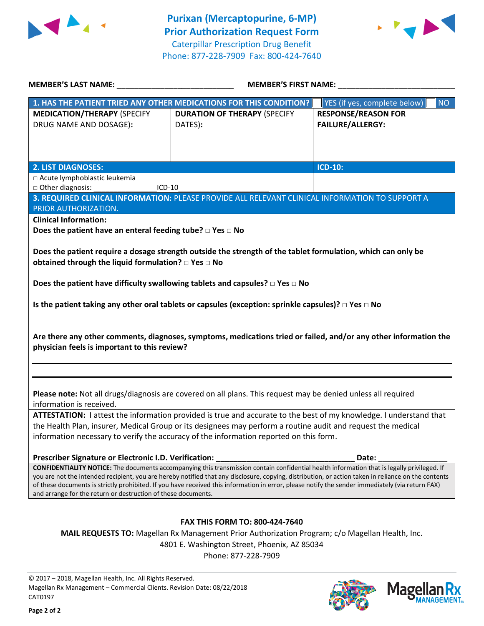



| <b>MEMBER'S LAST NAME:</b> NAME                                                                                                                                                                                                                                                                                                                                          | <b>MEMBER'S FIRST NAME:</b>                                                                                   |                                                       |  |  |
|--------------------------------------------------------------------------------------------------------------------------------------------------------------------------------------------------------------------------------------------------------------------------------------------------------------------------------------------------------------------------|---------------------------------------------------------------------------------------------------------------|-------------------------------------------------------|--|--|
|                                                                                                                                                                                                                                                                                                                                                                          | 1. HAS THE PATIENT TRIED ANY OTHER MEDICATIONS FOR THIS CONDITION?                                            | <b>NO</b><br>YES (if yes, complete below)             |  |  |
| <b>MEDICATION/THERAPY (SPECIFY</b><br>DRUG NAME AND DOSAGE):                                                                                                                                                                                                                                                                                                             | <b>DURATION OF THERAPY (SPECIFY</b><br>DATES):                                                                | <b>RESPONSE/REASON FOR</b><br><b>FAILURE/ALLERGY:</b> |  |  |
|                                                                                                                                                                                                                                                                                                                                                                          |                                                                                                               |                                                       |  |  |
| <b>2. LIST DIAGNOSES:</b>                                                                                                                                                                                                                                                                                                                                                |                                                                                                               | <b>ICD-10:</b>                                        |  |  |
| □ Acute lymphoblastic leukemia<br>□ Other diagnosis:<br>ICD-10                                                                                                                                                                                                                                                                                                           |                                                                                                               |                                                       |  |  |
|                                                                                                                                                                                                                                                                                                                                                                          | 3. REQUIRED CLINICAL INFORMATION: PLEASE PROVIDE ALL RELEVANT CLINICAL INFORMATION TO SUPPORT A               |                                                       |  |  |
| PRIOR AUTHORIZATION.                                                                                                                                                                                                                                                                                                                                                     |                                                                                                               |                                                       |  |  |
| <b>Clinical Information:</b>                                                                                                                                                                                                                                                                                                                                             |                                                                                                               |                                                       |  |  |
| Does the patient have an enteral feeding tube? $\square$ Yes $\square$ No                                                                                                                                                                                                                                                                                                |                                                                                                               |                                                       |  |  |
| Does the patient require a dosage strength outside the strength of the tablet formulation, which can only be<br>obtained through the liquid formulation? $\square$ Yes $\square$ No                                                                                                                                                                                      |                                                                                                               |                                                       |  |  |
|                                                                                                                                                                                                                                                                                                                                                                          | Does the patient have difficulty swallowing tablets and capsules? $\Box$ Yes $\Box$ No                        |                                                       |  |  |
|                                                                                                                                                                                                                                                                                                                                                                          |                                                                                                               |                                                       |  |  |
|                                                                                                                                                                                                                                                                                                                                                                          | Is the patient taking any other oral tablets or capsules (exception: sprinkle capsules)? $\Box$ Yes $\Box$ No |                                                       |  |  |
| Are there any other comments, diagnoses, symptoms, medications tried or failed, and/or any other information the<br>physician feels is important to this review?                                                                                                                                                                                                         |                                                                                                               |                                                       |  |  |
|                                                                                                                                                                                                                                                                                                                                                                          |                                                                                                               |                                                       |  |  |
| Please note: Not all drugs/diagnosis are covered on all plans. This request may be denied unless all required<br>information is received.                                                                                                                                                                                                                                |                                                                                                               |                                                       |  |  |
| ATTESTATION: I attest the information provided is true and accurate to the best of my knowledge. I understand that                                                                                                                                                                                                                                                       |                                                                                                               |                                                       |  |  |
| the Health Plan, insurer, Medical Group or its designees may perform a routine audit and request the medical                                                                                                                                                                                                                                                             |                                                                                                               |                                                       |  |  |
| information necessary to verify the accuracy of the information reported on this form.                                                                                                                                                                                                                                                                                   |                                                                                                               |                                                       |  |  |
| Prescriber Signature or Electronic I.D. Verification:                                                                                                                                                                                                                                                                                                                    |                                                                                                               | Date:                                                 |  |  |
| <b>CONFIDENTIALITY NOTICE:</b> The documents accompanying this transmission contain confidential health information that is legally privileged. If                                                                                                                                                                                                                       |                                                                                                               |                                                       |  |  |
| you are not the intended recipient, you are hereby notified that any disclosure, copying, distribution, or action taken in reliance on the contents<br>of these documents is strictly prohibited. If you have received this information in error, please notify the sender immediately (via return FAX)<br>and arrange for the return or destruction of these documents. |                                                                                                               |                                                       |  |  |
|                                                                                                                                                                                                                                                                                                                                                                          |                                                                                                               |                                                       |  |  |
| <b>FAX THIS FORM TO: 800-424-7640</b>                                                                                                                                                                                                                                                                                                                                    |                                                                                                               |                                                       |  |  |
| MAIL REQUESTS TO: Magellan Rx Management Prior Authorization Program; c/o Magellan Health, Inc.                                                                                                                                                                                                                                                                          |                                                                                                               |                                                       |  |  |
|                                                                                                                                                                                                                                                                                                                                                                          | 4801 E. Washington Street, Phoenix, AZ 85034                                                                  |                                                       |  |  |
|                                                                                                                                                                                                                                                                                                                                                                          | Phone: 877-228-7909                                                                                           |                                                       |  |  |

© 2017 – 2018, Magellan Health, Inc. All Rights Reserved. Magellan Rx Management – Commercial Clients. Revision Date: 08/22/2018 CAT0197